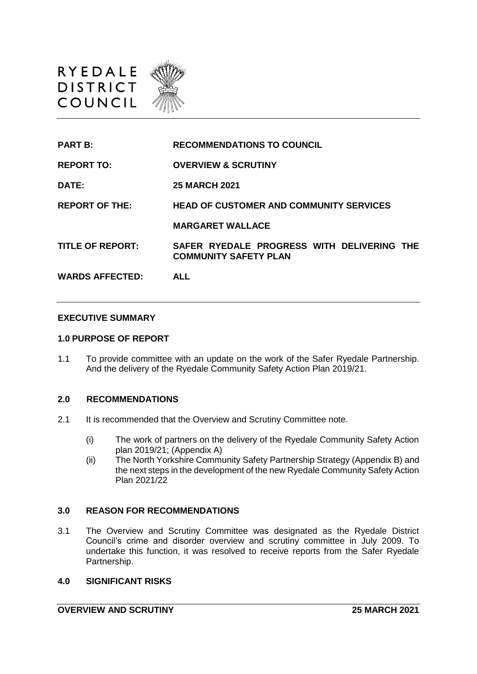

| <b>PART B:</b>          | <b>RECOMMENDATIONS TO COUNCIL</b>                                          |
|-------------------------|----------------------------------------------------------------------------|
| <b>REPORT TO:</b>       | <b>OVERVIEW &amp; SCRUTINY</b>                                             |
| <b>DATE:</b>            | <b>25 MARCH 2021</b>                                                       |
| <b>REPORT OF THE:</b>   | <b>HEAD OF CUSTOMER AND COMMUNITY SERVICES</b>                             |
|                         | <b>MARGARET WALLACE</b>                                                    |
| <b>TITLE OF REPORT:</b> | SAFER RYEDALE PROGRESS WITH DELIVERING THE<br><b>COMMUNITY SAFETY PLAN</b> |
| <b>WARDS AFFECTED:</b>  | ALL                                                                        |

#### **EXECUTIVE SUMMARY**

#### **1.0 PURPOSE OF REPORT**

1.1 To provide committee with an update on the work of the Safer Ryedale Partnership. And the delivery of the Ryedale Community Safety Action Plan 2019/21.

### **2.0 RECOMMENDATIONS**

- 2.1 It is recommended that the Overview and Scrutiny Committee note.
	- (i) The work of partners on the delivery of the Ryedale Community Safety Action plan 2019/21; (Appendix A)
	- (ii) The North Yorkshire Community Safety Partnership Strategy (Appendix B) and the next steps in the development of the new Ryedale Community Safety Action Plan 2021/22

#### **3.0 REASON FOR RECOMMENDATIONS**

3.1 The Overview and Scrutiny Committee was designated as the Ryedale District Council's crime and disorder overview and scrutiny committee in July 2009. To undertake this function, it was resolved to receive reports from the Safer Ryedale Partnership.

#### **4.0 SIGNIFICANT RISKS**

**OVERVIEW AND SCRUTINY 25 MARCH 2021**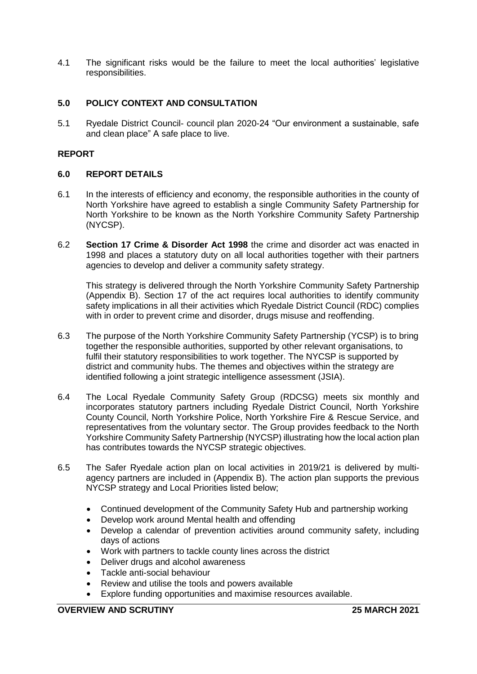4.1 The significant risks would be the failure to meet the local authorities' legislative responsibilities.

# **5.0 POLICY CONTEXT AND CONSULTATION**

5.1 Ryedale District Council- council plan 2020-24 "Our environment a sustainable, safe and clean place" A safe place to live.

## **REPORT**

## **6.0 REPORT DETAILS**

- 6.1 In the interests of efficiency and economy, the responsible authorities in the county of North Yorkshire have agreed to establish a single Community Safety Partnership for North Yorkshire to be known as the North Yorkshire Community Safety Partnership (NYCSP).
- 6.2 **Section 17 Crime & Disorder Act 1998** the crime and disorder act was enacted in 1998 and places a statutory duty on all local authorities together with their partners agencies to develop and deliver a community safety strategy.

This strategy is delivered through the North Yorkshire Community Safety Partnership (Appendix B). Section 17 of the act requires local authorities to identify community safety implications in all their activities which Ryedale District Council (RDC) complies with in order to prevent crime and disorder, drugs misuse and reoffending.

- 6.3 The purpose of the North Yorkshire Community Safety Partnership (YCSP) is to bring together the responsible authorities, supported by other relevant organisations, to fulfil their statutory responsibilities to work together. The NYCSP is supported by district and community hubs. The themes and objectives within the strategy are identified following a joint strategic intelligence assessment (JSIA).
- 6.4 The Local Ryedale Community Safety Group (RDCSG) meets six monthly and incorporates statutory partners including Ryedale District Council, North Yorkshire County Council, North Yorkshire Police, North Yorkshire Fire & Rescue Service, and representatives from the voluntary sector. The Group provides feedback to the North Yorkshire Community Safety Partnership (NYCSP) illustrating how the local action plan has contributes towards the NYCSP strategic objectives.
- 6.5 The Safer Ryedale action plan on local activities in 2019/21 is delivered by multiagency partners are included in (Appendix B). The action plan supports the previous NYCSP strategy and Local Priorities listed below;
	- Continued development of the Community Safety Hub and partnership working
	- Develop work around Mental health and offending
	- Develop a calendar of prevention activities around community safety, including days of actions
	- Work with partners to tackle county lines across the district
	- Deliver drugs and alcohol awareness
	- Tackle anti-social behaviour
	- Review and utilise the tools and powers available
	- Explore funding opportunities and maximise resources available.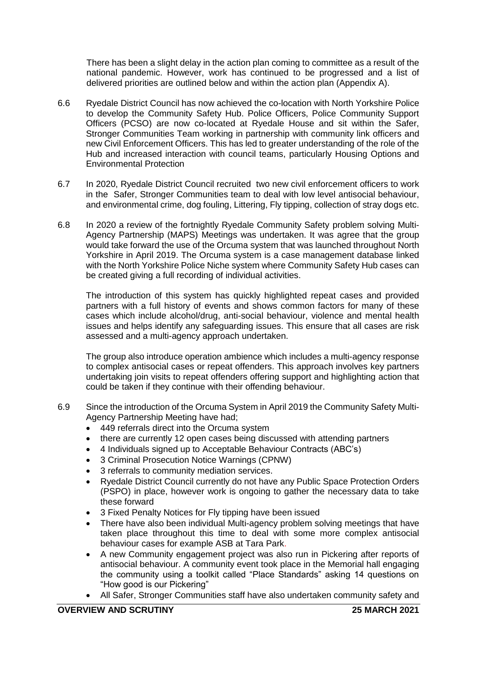There has been a slight delay in the action plan coming to committee as a result of the national pandemic. However, work has continued to be progressed and a list of delivered priorities are outlined below and within the action plan (Appendix A).

- 6.6 Ryedale District Council has now achieved the co-location with North Yorkshire Police to develop the Community Safety Hub. Police Officers, Police Community Support Officers (PCSO) are now co-located at Ryedale House and sit within the Safer, Stronger Communities Team working in partnership with community link officers and new Civil Enforcement Officers. This has led to greater understanding of the role of the Hub and increased interaction with council teams, particularly Housing Options and Environmental Protection
- 6.7 In 2020, Ryedale District Council recruited two new civil enforcement officers to work in the Safer, Stronger Communities team to deal with low level antisocial behaviour, and environmental crime, dog fouling, Littering, Fly tipping, collection of stray dogs etc.
- 6.8 In 2020 a review of the fortnightly Ryedale Community Safety problem solving Multi-Agency Partnership (MAPS) Meetings was undertaken. It was agree that the group would take forward the use of the Orcuma system that was launched throughout North Yorkshire in April 2019. The Orcuma system is a case management database linked with the North Yorkshire Police Niche system where Community Safety Hub cases can be created giving a full recording of individual activities.

The introduction of this system has quickly highlighted repeat cases and provided partners with a full history of events and shows common factors for many of these cases which include alcohol/drug, anti-social behaviour, violence and mental health issues and helps identify any safeguarding issues. This ensure that all cases are risk assessed and a multi-agency approach undertaken.

The group also introduce operation ambience which includes a multi-agency response to complex antisocial cases or repeat offenders. This approach involves key partners undertaking join visits to repeat offenders offering support and highlighting action that could be taken if they continue with their offending behaviour.

- 6.9 Since the introduction of the Orcuma System in April 2019 the Community Safety Multi-Agency Partnership Meeting have had;
	- 449 referrals direct into the Orcuma system
	- there are currently 12 open cases being discussed with attending partners
	- 4 Individuals signed up to Acceptable Behaviour Contracts (ABC's)
	- 3 Criminal Prosecution Notice Warnings (CPNW)
	- 3 referrals to community mediation services.
	- Ryedale District Council currently do not have any Public Space Protection Orders (PSPO) in place, however work is ongoing to gather the necessary data to take these forward
	- 3 Fixed Penalty Notices for Fly tipping have been issued
	- There have also been individual Multi-agency problem solving meetings that have taken place throughout this time to deal with some more complex antisocial behaviour cases for example ASB at Tara Park.
	- A new Community engagement project was also run in Pickering after reports of antisocial behaviour. A community event took place in the Memorial hall engaging the community using a toolkit called "Place Standards" asking 14 questions on "How good is our Pickering"
	- All Safer, Stronger Communities staff have also undertaken community safety and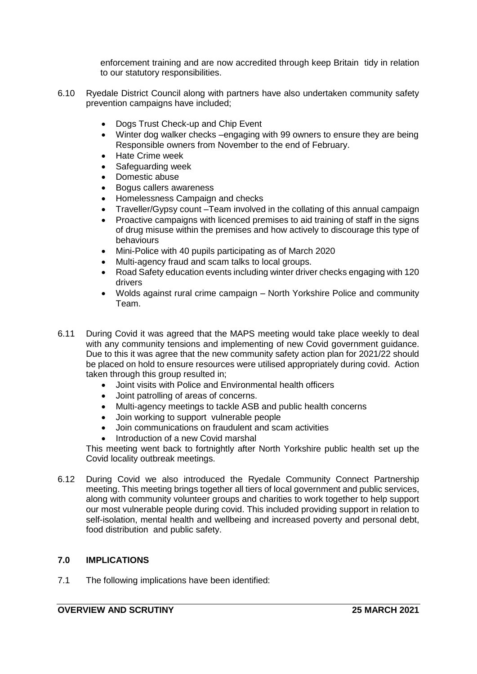enforcement training and are now accredited through keep Britain tidy in relation to our statutory responsibilities.

- 6.10 Ryedale District Council along with partners have also undertaken community safety prevention campaigns have included;
	- Dogs Trust Check-up and Chip Event
	- Winter dog walker checks –engaging with 99 owners to ensure they are being Responsible owners from November to the end of February.
	- Hate Crime week
	- Safeguarding week
	- Domestic abuse
	- Bogus callers awareness
	- Homelessness Campaign and checks
	- Traveller/Gypsy count –Team involved in the collating of this annual campaign
	- Proactive campaigns with licenced premises to aid training of staff in the signs of drug misuse within the premises and how actively to discourage this type of behaviours
	- Mini-Police with 40 pupils participating as of March 2020
	- Multi-agency fraud and scam talks to local groups.
	- Road Safety education events including winter driver checks engaging with 120 drivers
	- Wolds against rural crime campaign North Yorkshire Police and community Team.
- 6.11 During Covid it was agreed that the MAPS meeting would take place weekly to deal with any community tensions and implementing of new Covid government guidance. Due to this it was agree that the new community safety action plan for 2021/22 should be placed on hold to ensure resources were utilised appropriately during covid. Action taken through this group resulted in;
	- Joint visits with Police and Environmental health officers
	- Joint patrolling of areas of concerns.
	- Multi-agency meetings to tackle ASB and public health concerns
	- Join working to support vulnerable people
	- Join communications on fraudulent and scam activities
	- Introduction of a new Covid marshal

This meeting went back to fortnightly after North Yorkshire public health set up the Covid locality outbreak meetings.

6.12 During Covid we also introduced the Ryedale Community Connect Partnership meeting. This meeting brings together all tiers of local government and public services, along with community volunteer groups and charities to work together to help support our most vulnerable people during covid. This included providing support in relation to self-isolation, mental health and wellbeing and increased poverty and personal debt, food distribution and public safety.

## **7.0 IMPLICATIONS**

7.1 The following implications have been identified: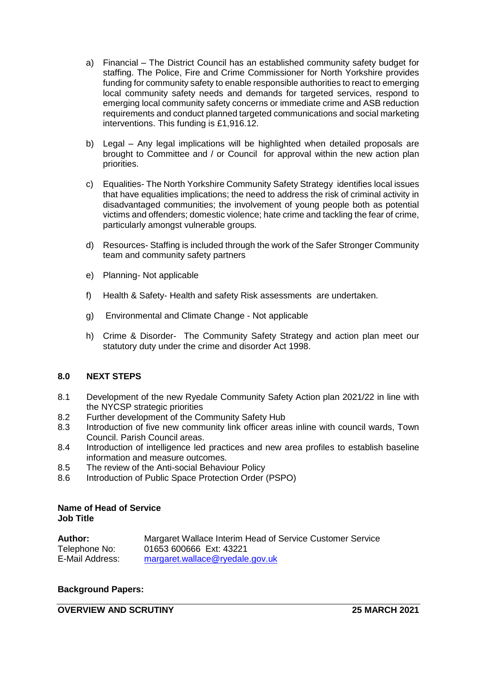- a) Financial The District Council has an established community safety budget for staffing. The Police, Fire and Crime Commissioner for North Yorkshire provides funding for community safety to enable responsible authorities to react to emerging local community safety needs and demands for targeted services, respond to emerging local community safety concerns or immediate crime and ASB reduction requirements and conduct planned targeted communications and social marketing interventions. This funding is £1,916.12.
- b) Legal Any legal implications will be highlighted when detailed proposals are brought to Committee and / or Council for approval within the new action plan priorities.
- c) Equalities- The North Yorkshire Community Safety Strategy identifies local issues that have equalities implications; the need to address the risk of criminal activity in disadvantaged communities; the involvement of young people both as potential victims and offenders; domestic violence; hate crime and tackling the fear of crime, particularly amongst vulnerable groups.
- d) Resources- Staffing is included through the work of the Safer Stronger Community team and community safety partners
- e) Planning- Not applicable
- f) Health & Safety- Health and safety Risk assessments are undertaken.
- g) Environmental and Climate Change Not applicable
- h) Crime & Disorder- The Community Safety Strategy and action plan meet our statutory duty under the crime and disorder Act 1998.

## **8.0 NEXT STEPS**

- 8.1 Development of the new Ryedale Community Safety Action plan 2021/22 in line with the NYCSP strategic priorities
- 8.2 Further development of the Community Safety Hub
- 8.3 Introduction of five new community link officer areas inline with council wards, Town Council. Parish Council areas.
- 8.4 Introduction of intelligence led practices and new area profiles to establish baseline information and measure outcomes.
- 8.5 The review of the Anti-social Behaviour Policy
- 8.6 Introduction of Public Space Protection Order (PSPO)

#### **Name of Head of Service Job Title**

| <b>Author:</b>  | Margaret Wallace Interim Head of Service Customer Service |
|-----------------|-----------------------------------------------------------|
| Telephone No:   | 01653 600666 Ext: 43221                                   |
| E-Mail Address: | margaret.wallace@ryedale.gov.uk                           |

# **Background Papers:**

# **OVERVIEW AND SCRUTINY 25 MARCH 2021**